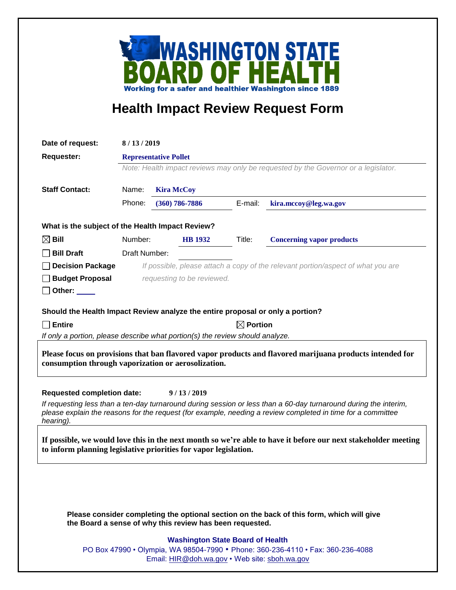

## **Health Impact Review Request Form**

| Date of request:                                                                                                                                                                                                                                                                               | 8/13/2019                                                                                                                        |  |                    |         |                                  |  |
|------------------------------------------------------------------------------------------------------------------------------------------------------------------------------------------------------------------------------------------------------------------------------------------------|----------------------------------------------------------------------------------------------------------------------------------|--|--------------------|---------|----------------------------------|--|
| <b>Requester:</b>                                                                                                                                                                                                                                                                              | <b>Representative Pollet</b>                                                                                                     |  |                    |         |                                  |  |
|                                                                                                                                                                                                                                                                                                | Note: Health impact reviews may only be requested by the Governor or a legislator.                                               |  |                    |         |                                  |  |
| <b>Staff Contact:</b>                                                                                                                                                                                                                                                                          | Name:<br><b>Kira McCoy</b>                                                                                                       |  |                    |         |                                  |  |
|                                                                                                                                                                                                                                                                                                | Phone:                                                                                                                           |  | $(360) 786 - 7886$ | E-mail: | kira.mccoy@leg.wa.gov            |  |
| What is the subject of the Health Impact Review?                                                                                                                                                                                                                                               |                                                                                                                                  |  |                    |         |                                  |  |
| $\boxtimes$ Bill                                                                                                                                                                                                                                                                               | Number:                                                                                                                          |  | <b>HB</b> 1932     | Title:  | <b>Concerning vapor products</b> |  |
| <b>Bill Draft</b>                                                                                                                                                                                                                                                                              | Draft Number:                                                                                                                    |  |                    |         |                                  |  |
| <b>Decision Package</b>                                                                                                                                                                                                                                                                        | If possible, please attach a copy of the relevant portion/aspect of what you are                                                 |  |                    |         |                                  |  |
| <b>Budget Proposal</b>                                                                                                                                                                                                                                                                         | requesting to be reviewed.                                                                                                       |  |                    |         |                                  |  |
| Other: $\_\_$                                                                                                                                                                                                                                                                                  |                                                                                                                                  |  |                    |         |                                  |  |
|                                                                                                                                                                                                                                                                                                |                                                                                                                                  |  |                    |         |                                  |  |
| Should the Health Impact Review analyze the entire proposal or only a portion?<br>$\sqcap$ Entire<br>$\boxtimes$ Portion                                                                                                                                                                       |                                                                                                                                  |  |                    |         |                                  |  |
| If only a portion, please describe what portion(s) the review should analyze.                                                                                                                                                                                                                  |                                                                                                                                  |  |                    |         |                                  |  |
| Please focus on provisions that ban flavored vapor products and flavored marijuana products intended for<br>consumption through vaporization or aerosolization.                                                                                                                                |                                                                                                                                  |  |                    |         |                                  |  |
| <b>Requested completion date:</b><br>9/13/2019<br>If requesting less than a ten-day turnaround during session or less than a 60-day turnaround during the interim,<br>please explain the reasons for the request (for example, needing a review completed in time for a committee<br>hearing). |                                                                                                                                  |  |                    |         |                                  |  |
| If possible, we would love this in the next month so we're able to have it before our next stakeholder meeting<br>to inform planning legislative priorities for vapor legislation.                                                                                                             |                                                                                                                                  |  |                    |         |                                  |  |
|                                                                                                                                                                                                                                                                                                |                                                                                                                                  |  |                    |         |                                  |  |
| Please consider completing the optional section on the back of this form, which will give<br>the Board a sense of why this review has been requested.                                                                                                                                          |                                                                                                                                  |  |                    |         |                                  |  |
| <b>Washington State Board of Health</b>                                                                                                                                                                                                                                                        |                                                                                                                                  |  |                    |         |                                  |  |
|                                                                                                                                                                                                                                                                                                | PO Box 47990 • Olympia, WA 98504-7990 • Phone: 360-236-4110 • Fax: 360-236-4088<br>Email: HIR@doh.wa.gov • Web site: sboh.wa.gov |  |                    |         |                                  |  |